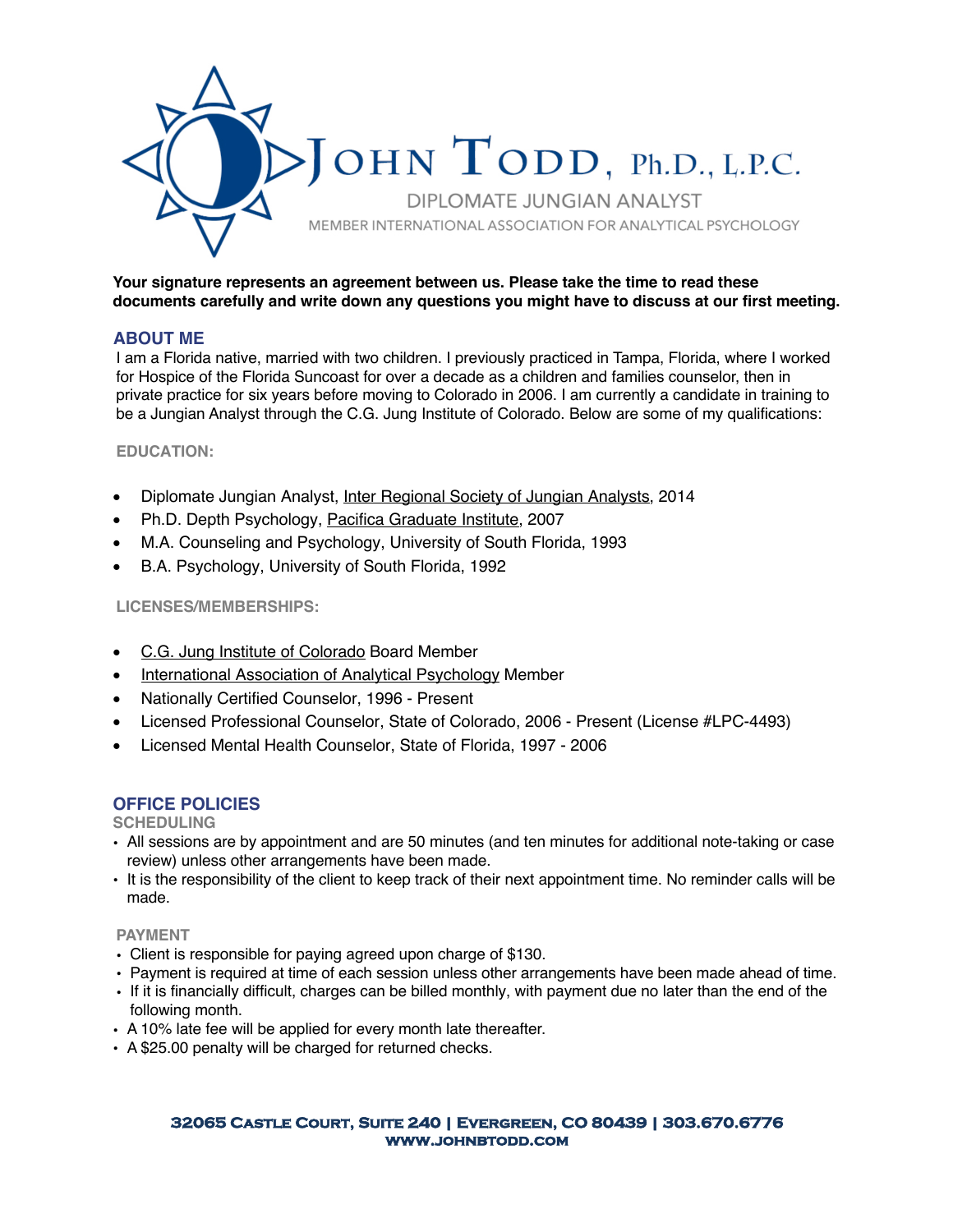

## **Your signature represents an agreement between us. Please take the time to read these documents carefully and write down any questions you might have to discuss at our first meeting.**

# **ABOUT ME**

I am a Florida native, married with two children. I previously practiced in Tampa, Florida, where I worked for Hospice of the Florida Suncoast for over a decade as a children and families counselor, then in private practice for six years before moving to Colorado in 2006. I am currently a candidate in training to be a Jungian Analyst through the C.G. Jung Institute of Colorado. Below are some of my qualifications:

## **EDUCATION:**

- Diplomate Jungian Analyst, Inter Regional Society of Jungian Analysts, 2014
- Ph.D. Depth Psychology, Pacifica Graduate Institute, 2007
- M.A. Counseling and Psychology, University of South Florida, 1993
- B.A. Psychology, University of South Florida, 1992

## **LICENSES/MEMBERSHIPS:**

- C.G. Jung Institute of Colorado Board Member
- International Association of Analytical Psychology Member
- Nationally Certified Counselor, 1996 Present
- Licensed Professional Counselor, State of Colorado, 2006 Present (License #LPC-4493)
- Licensed Mental Health Counselor, State of Florida, 1997 2006

## **OFFICE POLICIES**

### **SCHEDULING**

- All sessions are by appointment and are 50 minutes (and ten minutes for additional note-taking or case review) unless other arrangements have been made.
- It is the responsibility of the client to keep track of their next appointment time. No reminder calls will be made.

#### **PAYMENT**

- Client is responsible for paying agreed upon charge of \$130.
- Payment is required at time of each session unless other arrangements have been made ahead of time.
- If it is financially difficult, charges can be billed monthly, with payment due no later than the end of the following month.
- A 10% late fee will be applied for every month late thereafter.
- A \$25.00 penalty will be charged for returned checks.

#### **32065 Castle Court, Suite 240 | Evergreen, CO 80439 | 303.670.6776 www.johnbtodd.com**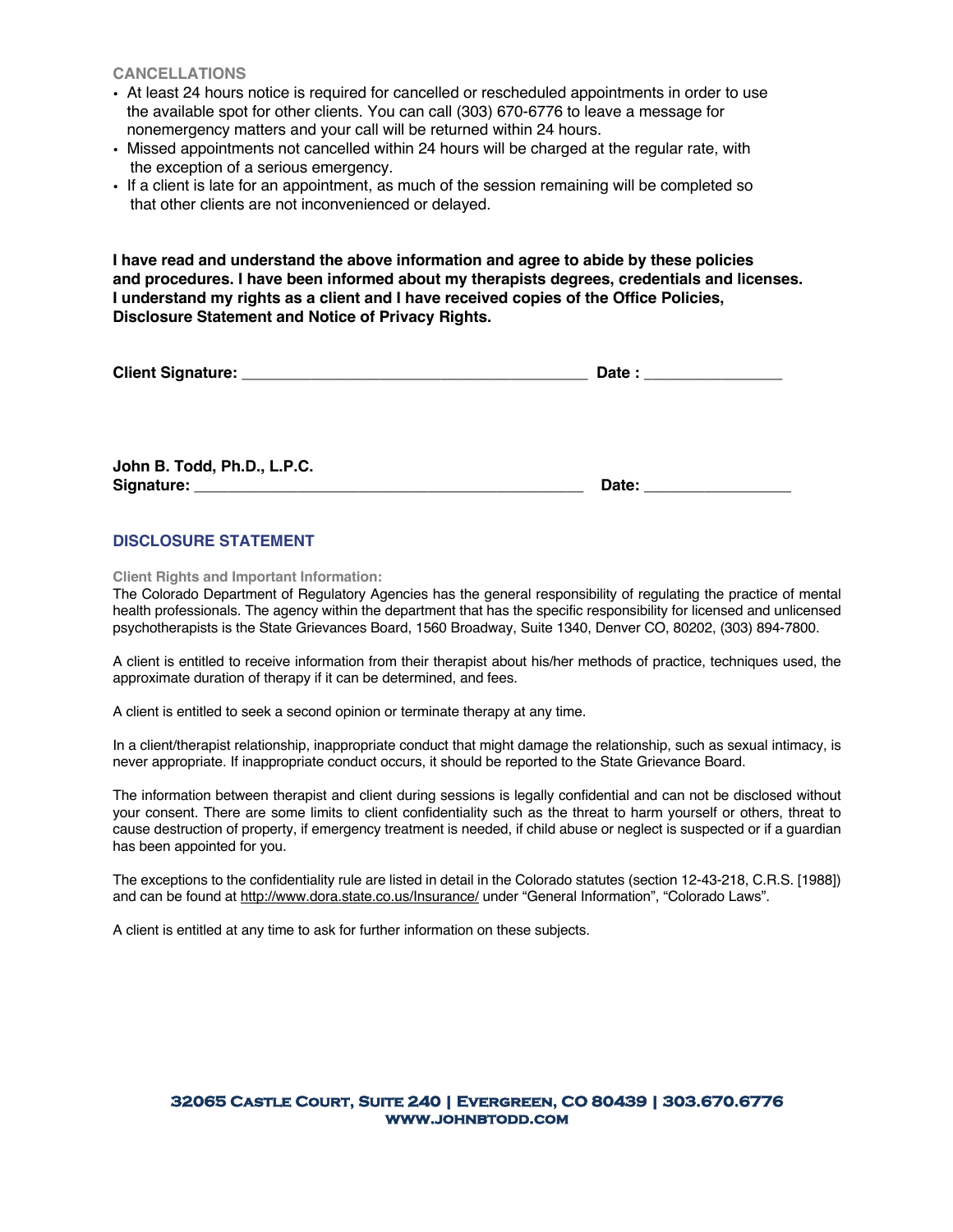**CANCELLATIONS**

- At least 24 hours notice is required for cancelled or rescheduled appointments in order to use the available spot for other clients. You can call (303) 670-6776 to leave a message for nonemergency matters and your call will be returned within 24 hours.
- Missed appointments not cancelled within 24 hours will be charged at the regular rate, with the exception of a serious emergency.
- If a client is late for an appointment, as much of the session remaining will be completed so that other clients are not inconvenienced or delayed.

**I have read and understand the above information and agree to abide by these policies and procedures. I have been informed about my therapists degrees, credentials and licenses. I understand my rights as a client and I have received copies of the Office Policies, Disclosure Statement and Notice of Privacy Rights.**

| <b>Client Signature:</b> |  |
|--------------------------|--|
|                          |  |

**John B. Todd, Ph.D., L.P.C. Signature: \_\_\_\_\_\_\_\_\_\_\_\_\_\_\_\_\_\_\_\_\_\_\_\_\_\_\_\_\_\_\_\_\_\_\_\_\_\_\_\_\_\_\_\_\_ Date: \_\_\_\_\_\_\_\_\_\_\_\_\_\_\_\_\_**

## **DISCLOSURE STATEMENT**

**Client Rights and Important Information:**

The Colorado Department of Regulatory Agencies has the general responsibility of regulating the practice of mental health professionals. The agency within the department that has the specific responsibility for licensed and unlicensed psychotherapists is the State Grievances Board, 1560 Broadway, Suite 1340, Denver CO, 80202, (303) 894-7800.

A client is entitled to receive information from their therapist about his/her methods of practice, techniques used, the approximate duration of therapy if it can be determined, and fees.

A client is entitled to seek a second opinion or terminate therapy at any time.

In a client/therapist relationship, inappropriate conduct that might damage the relationship, such as sexual intimacy, is never appropriate. If inappropriate conduct occurs, it should be reported to the State Grievance Board.

The information between therapist and client during sessions is legally confidential and can not be disclosed without your consent. There are some limits to client confidentiality such as the threat to harm yourself or others, threat to cause destruction of property, if emergency treatment is needed, if child abuse or neglect is suspected or if a guardian has been appointed for you.

The exceptions to the confidentiality rule are listed in detail in the Colorado statutes (section 12-43-218, C.R.S. [1988]) and can be found at http://www.dora.state.co.us/Insurance/ under "General Information", "Colorado Laws".

A client is entitled at any time to ask for further information on these subjects.

#### **32065 Castle Court, Suite 240 | Evergreen, CO 80439 | 303.670.6776 www.johnbtodd.com**